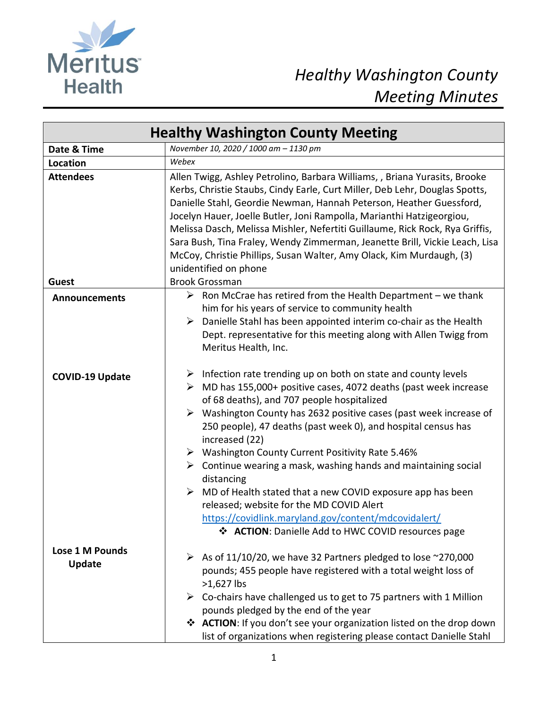

## *Healthy Washington County Meeting Minutes*

| <b>Healthy Washington County Meeting</b> |                                                                                                                                                                                                                                                                                                                                                                                                                                                                                                                                                                                                                                                                                                                                                             |
|------------------------------------------|-------------------------------------------------------------------------------------------------------------------------------------------------------------------------------------------------------------------------------------------------------------------------------------------------------------------------------------------------------------------------------------------------------------------------------------------------------------------------------------------------------------------------------------------------------------------------------------------------------------------------------------------------------------------------------------------------------------------------------------------------------------|
| Date & Time                              | November 10, 2020 / 1000 am - 1130 pm                                                                                                                                                                                                                                                                                                                                                                                                                                                                                                                                                                                                                                                                                                                       |
| Location                                 | Webex                                                                                                                                                                                                                                                                                                                                                                                                                                                                                                                                                                                                                                                                                                                                                       |
| <b>Attendees</b><br><b>Guest</b>         | Allen Twigg, Ashley Petrolino, Barbara Williams, , Briana Yurasits, Brooke<br>Kerbs, Christie Staubs, Cindy Earle, Curt Miller, Deb Lehr, Douglas Spotts,<br>Danielle Stahl, Geordie Newman, Hannah Peterson, Heather Guessford,<br>Jocelyn Hauer, Joelle Butler, Joni Rampolla, Marianthi Hatzigeorgiou,<br>Melissa Dasch, Melissa Mishler, Nefertiti Guillaume, Rick Rock, Rya Griffis,<br>Sara Bush, Tina Fraley, Wendy Zimmerman, Jeanette Brill, Vickie Leach, Lisa<br>McCoy, Christie Phillips, Susan Walter, Amy Olack, Kim Murdaugh, (3)<br>unidentified on phone<br><b>Brook Grossman</b>                                                                                                                                                          |
| <b>Announcements</b>                     | $\triangleright$ Ron McCrae has retired from the Health Department – we thank                                                                                                                                                                                                                                                                                                                                                                                                                                                                                                                                                                                                                                                                               |
|                                          | him for his years of service to community health<br>Danielle Stahl has been appointed interim co-chair as the Health<br>➤<br>Dept. representative for this meeting along with Allen Twigg from<br>Meritus Health, Inc.                                                                                                                                                                                                                                                                                                                                                                                                                                                                                                                                      |
| <b>COVID-19 Update</b>                   | $\triangleright$ Infection rate trending up on both on state and county levels<br>$\triangleright$ MD has 155,000+ positive cases, 4072 deaths (past week increase<br>of 68 deaths), and 707 people hospitalized<br>> Washington County has 2632 positive cases (past week increase of<br>250 people), 47 deaths (past week 0), and hospital census has<br>increased (22)<br>▶ Washington County Current Positivity Rate 5.46%<br>$\triangleright$ Continue wearing a mask, washing hands and maintaining social<br>distancing<br>MD of Health stated that a new COVID exposure app has been<br>➤<br>released; website for the MD COVID Alert<br>https://covidlink.maryland.gov/content/mdcovidalert/<br>❖ ACTION: Danielle Add to HWC COVID resources page |
| Lose 1 M Pounds<br><b>Update</b>         | $\triangleright$ As of 11/10/20, we have 32 Partners pledged to lose ~270,000<br>pounds; 455 people have registered with a total weight loss of<br>>1,627 lbs<br>$\triangleright$ Co-chairs have challenged us to get to 75 partners with 1 Million<br>pounds pledged by the end of the year<br>❖ ACTION: If you don't see your organization listed on the drop down<br>list of organizations when registering please contact Danielle Stahl                                                                                                                                                                                                                                                                                                                |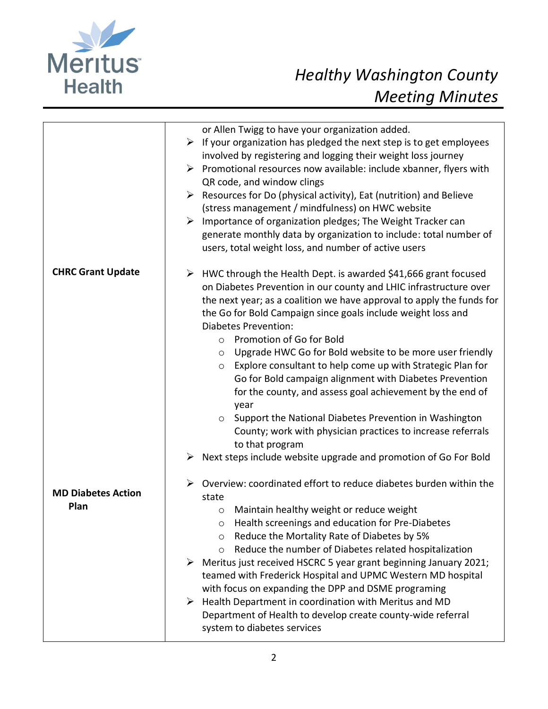

|                                   | or Allen Twigg to have your organization added.<br>$\triangleright$ If your organization has pledged the next step is to get employees<br>involved by registering and logging their weight loss journey<br>$\triangleright$ Promotional resources now available: include xbanner, flyers with<br>QR code, and window clings<br>Resources for Do (physical activity), Eat (nutrition) and Believe<br>$\blacktriangleright$<br>(stress management / mindfulness) on HWC website<br>Importance of organization pledges; The Weight Tracker can<br>$\blacktriangleright$<br>generate monthly data by organization to include: total number of<br>users, total weight loss, and number of active users                                                                                                          |
|-----------------------------------|------------------------------------------------------------------------------------------------------------------------------------------------------------------------------------------------------------------------------------------------------------------------------------------------------------------------------------------------------------------------------------------------------------------------------------------------------------------------------------------------------------------------------------------------------------------------------------------------------------------------------------------------------------------------------------------------------------------------------------------------------------------------------------------------------------|
| <b>CHRC Grant Update</b>          | $\triangleright$ HWC through the Health Dept. is awarded \$41,666 grant focused<br>on Diabetes Prevention in our county and LHIC infrastructure over<br>the next year; as a coalition we have approval to apply the funds for<br>the Go for Bold Campaign since goals include weight loss and<br><b>Diabetes Prevention:</b><br>Promotion of Go for Bold<br>$\circ$<br>Upgrade HWC Go for Bold website to be more user friendly<br>$\circ$<br>Explore consultant to help come up with Strategic Plan for<br>$\circ$<br>Go for Bold campaign alignment with Diabetes Prevention<br>for the county, and assess goal achievement by the end of<br>year<br>Support the National Diabetes Prevention in Washington<br>$\circ$<br>County; work with physician practices to increase referrals<br>to that program |
| <b>MD Diabetes Action</b><br>Plan | Next steps include website upgrade and promotion of Go For Bold<br>➤<br>Overview: coordinated effort to reduce diabetes burden within the<br>➤<br>state<br>Maintain healthy weight or reduce weight<br>$\circ$<br>Health screenings and education for Pre-Diabetes<br>Reduce the Mortality Rate of Diabetes by 5%<br>$\circ$<br>Reduce the number of Diabetes related hospitalization<br>$\circ$<br>$\triangleright$ Meritus just received HSCRC 5 year grant beginning January 2021;<br>teamed with Frederick Hospital and UPMC Western MD hospital<br>with focus on expanding the DPP and DSME programing<br>Health Department in coordination with Meritus and MD<br>➤<br>Department of Health to develop create county-wide referral<br>system to diabetes services                                    |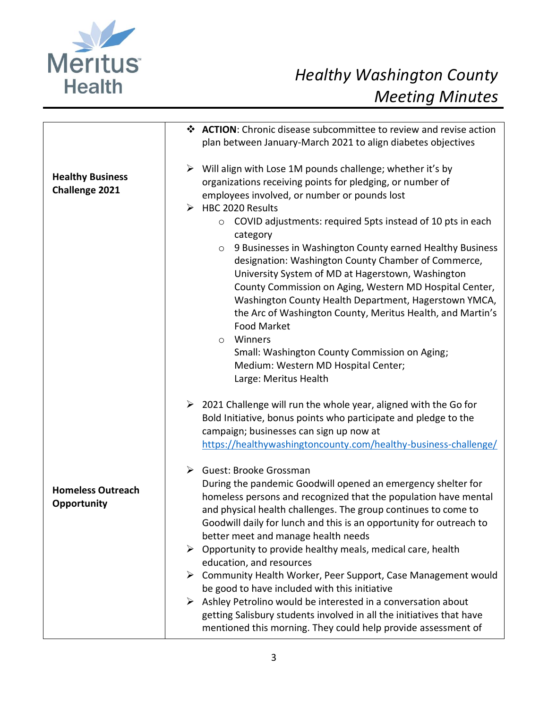

## *Healthy Washington County Meeting Minutes*

|                                                  | ❖ ACTION: Chronic disease subcommittee to review and revise action                |
|--------------------------------------------------|-----------------------------------------------------------------------------------|
|                                                  | plan between January-March 2021 to align diabetes objectives                      |
|                                                  |                                                                                   |
| <b>Healthy Business</b><br><b>Challenge 2021</b> | $\triangleright$ Will align with Lose 1M pounds challenge; whether it's by        |
|                                                  | organizations receiving points for pledging, or number of                         |
|                                                  | employees involved, or number or pounds lost                                      |
|                                                  | $\triangleright$ HBC 2020 Results                                                 |
|                                                  | COVID adjustments: required 5pts instead of 10 pts in each<br>$\circ$<br>category |
|                                                  | 9 Businesses in Washington County earned Healthy Business<br>$\circ$              |
|                                                  | designation: Washington County Chamber of Commerce,                               |
|                                                  | University System of MD at Hagerstown, Washington                                 |
|                                                  | County Commission on Aging, Western MD Hospital Center,                           |
|                                                  | Washington County Health Department, Hagerstown YMCA,                             |
|                                                  | the Arc of Washington County, Meritus Health, and Martin's                        |
|                                                  | <b>Food Market</b>                                                                |
|                                                  | Winners<br>$\circ$                                                                |
|                                                  | Small: Washington County Commission on Aging;                                     |
|                                                  | Medium: Western MD Hospital Center;                                               |
|                                                  | Large: Meritus Health                                                             |
|                                                  | $\geq$ 2021 Challenge will run the whole year, aligned with the Go for            |
|                                                  | Bold Initiative, bonus points who participate and pledge to the                   |
|                                                  | campaign; businesses can sign up now at                                           |
|                                                  | https://healthywashingtoncounty.com/healthy-business-challenge/                   |
|                                                  | $\triangleright$ Guest: Brooke Grossman                                           |
|                                                  | During the pandemic Goodwill opened an emergency shelter for                      |
| <b>Homeless Outreach</b>                         | homeless persons and recognized that the population have mental                   |
| Opportunity                                      | and physical health challenges. The group continues to come to                    |
|                                                  | Goodwill daily for lunch and this is an opportunity for outreach to               |
|                                                  | better meet and manage health needs                                               |
|                                                  | $\triangleright$ Opportunity to provide healthy meals, medical care, health       |
|                                                  | education, and resources                                                          |
|                                                  | $\triangleright$ Community Health Worker, Peer Support, Case Management would     |
|                                                  | be good to have included with this initiative                                     |
|                                                  | $\triangleright$ Ashley Petrolino would be interested in a conversation about     |
|                                                  | getting Salisbury students involved in all the initiatives that have              |
|                                                  | mentioned this morning. They could help provide assessment of                     |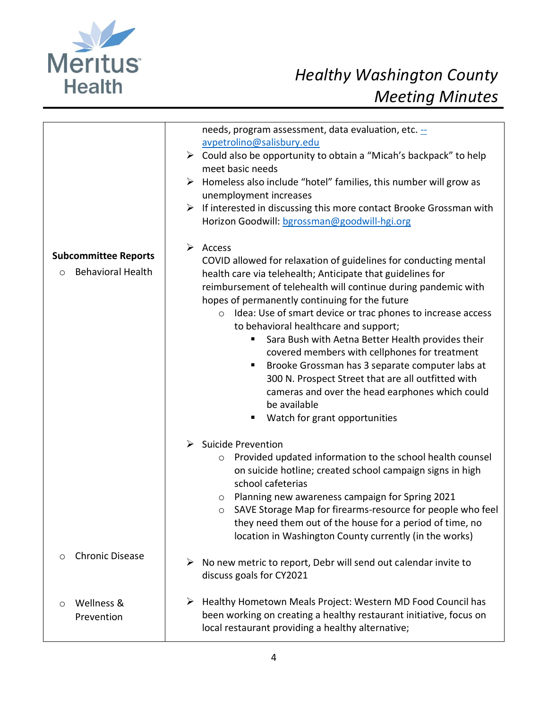

|                                                                    | needs, program assessment, data evaluation, etc. -<br>avpetrolino@salisbury.edu<br>$\triangleright$ Could also be opportunity to obtain a "Micah's backpack" to help<br>meet basic needs<br>$\triangleright$ Homeless also include "hotel" families, this number will grow as<br>unemployment increases<br>$\triangleright$ If interested in discussing this more contact Brooke Grossman with<br>Horizon Goodwill: bgrossman@goodwill-hgi.org                                                                                                                                                                                                                                                                      |
|--------------------------------------------------------------------|---------------------------------------------------------------------------------------------------------------------------------------------------------------------------------------------------------------------------------------------------------------------------------------------------------------------------------------------------------------------------------------------------------------------------------------------------------------------------------------------------------------------------------------------------------------------------------------------------------------------------------------------------------------------------------------------------------------------|
| <b>Subcommittee Reports</b><br><b>Behavioral Health</b><br>$\circ$ | $\triangleright$ Access<br>COVID allowed for relaxation of guidelines for conducting mental<br>health care via telehealth; Anticipate that guidelines for<br>reimbursement of telehealth will continue during pandemic with<br>hopes of permanently continuing for the future<br>Idea: Use of smart device or trac phones to increase access<br>$\circ$<br>to behavioral healthcare and support;<br>Sara Bush with Aetna Better Health provides their<br>covered members with cellphones for treatment<br>Brooke Grossman has 3 separate computer labs at<br>300 N. Prospect Street that are all outfitted with<br>cameras and over the head earphones which could<br>be available<br>Watch for grant opportunities |
|                                                                    | $\triangleright$ Suicide Prevention<br>Provided updated information to the school health counsel<br>$\circ$<br>on suicide hotline; created school campaign signs in high<br>school cafeterias<br>Planning new awareness campaign for Spring 2021<br>$\circ$<br>SAVE Storage Map for firearms-resource for people who feel<br>$\circ$<br>they need them out of the house for a period of time, no<br>location in Washington County currently (in the works)                                                                                                                                                                                                                                                          |
| <b>Chronic Disease</b><br>$\circ$                                  | No new metric to report, Debr will send out calendar invite to<br>≻<br>discuss goals for CY2021                                                                                                                                                                                                                                                                                                                                                                                                                                                                                                                                                                                                                     |
| Wellness &<br>$\circ$<br>Prevention                                | > Healthy Hometown Meals Project: Western MD Food Council has<br>been working on creating a healthy restaurant initiative, focus on<br>local restaurant providing a healthy alternative;                                                                                                                                                                                                                                                                                                                                                                                                                                                                                                                            |